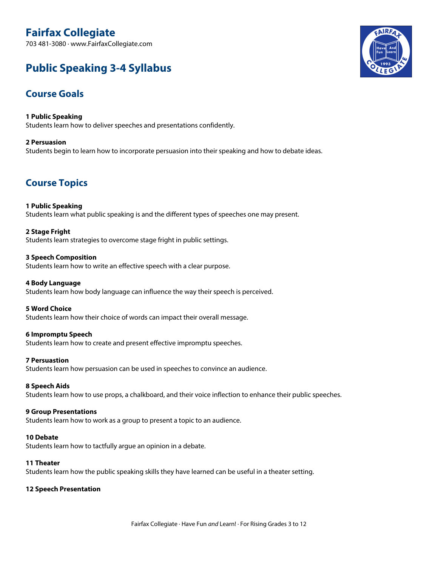# **Fairfax Collegiate**

703 481-3080 · www.FairfaxCollegiate.com

# **Public Speaking 3-4 Syllabus**

## **Course Goals**

**1 Public Speaking** Students learn how to deliver speeches and presentations confidently.

## **2 Persuasion**

Students begin to learn how to incorporate persuasion into their speaking and how to debate ideas.

## **Course Topics**

## **1 Public Speaking**

Students learn what public speaking is and the different types of speeches one may present.

## **2 Stage Fright**

Students learn strategies to overcome stage fright in public settings.

#### **3 Speech Composition**

Students learn how to write an effective speech with a clear purpose.

#### **4 Body Language**

Students learn how body language can influence the way their speech is perceived.

#### **5 Word Choice**

Students learn how their choice of words can impact their overall message.

## **6 Impromptu Speech**

Students learn how to create and present effective impromptu speeches.

## **7 Persuastion**

Students learn how persuasion can be used in speeches to convince an audience.

## **8 Speech Aids**

Students learn how to use props, a chalkboard, and their voice inflection to enhance their public speeches.

#### **9 Group Presentations**

Students learn how to work as a group to present a topic to an audience.

#### **10 Debate**

Students learn how to tactfully argue an opinion in a debate.

#### **11 Theater**

Students learn how the public speaking skills they have learned can be useful in a theater setting.

## **12 Speech Presentation**

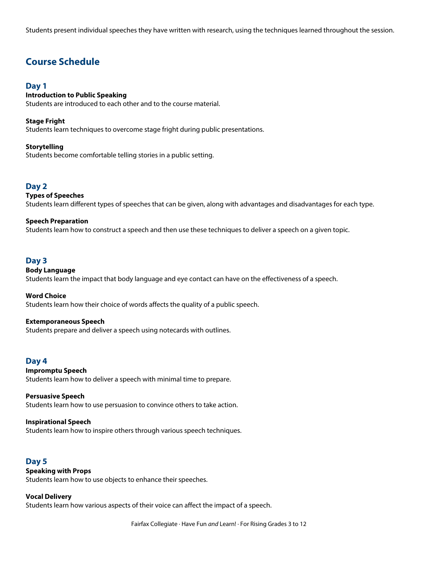Students present individual speeches they have written with research, using the techniques learned throughout the session.

## **Course Schedule**

## **Day 1**

## **Introduction to Public Speaking**

Students are introduced to each other and to the course material.

#### **Stage Fright**

Students learn techniques to overcome stage fright during public presentations.

#### **Storytelling**

Students become comfortable telling stories in a public setting.

## **Day 2**

#### **Types of Speeches**

Students learn different types of speeches that can be given, along with advantages and disadvantages for each type.

### **Speech Preparation**

Students learn how to construct a speech and then use these techniques to deliver a speech on a given topic.

## **Day 3**

#### **Body Language**

Students learn the impact that body language and eye contact can have on the effectiveness of a speech.

**Word Choice**

Students learn how their choice of words affects the quality of a public speech.

#### **Extemporaneous Speech**

Students prepare and deliver a speech using notecards with outlines.

#### **Day 4**

### **Impromptu Speech**

Students learn how to deliver a speech with minimal time to prepare.

## **Persuasive Speech**

Students learn how to use persuasion to convince others to take action.

#### **Inspirational Speech**

Students learn how to inspire others through various speech techniques.

## **Day 5**

#### **Speaking with Props**

Students learn how to use objects to enhance their speeches.

#### **Vocal Delivery**

Students learn how various aspects of their voice can affect the impact of a speech.

Fairfax Collegiate · Have Fun *and* Learn! · For Rising Grades 3 to 12